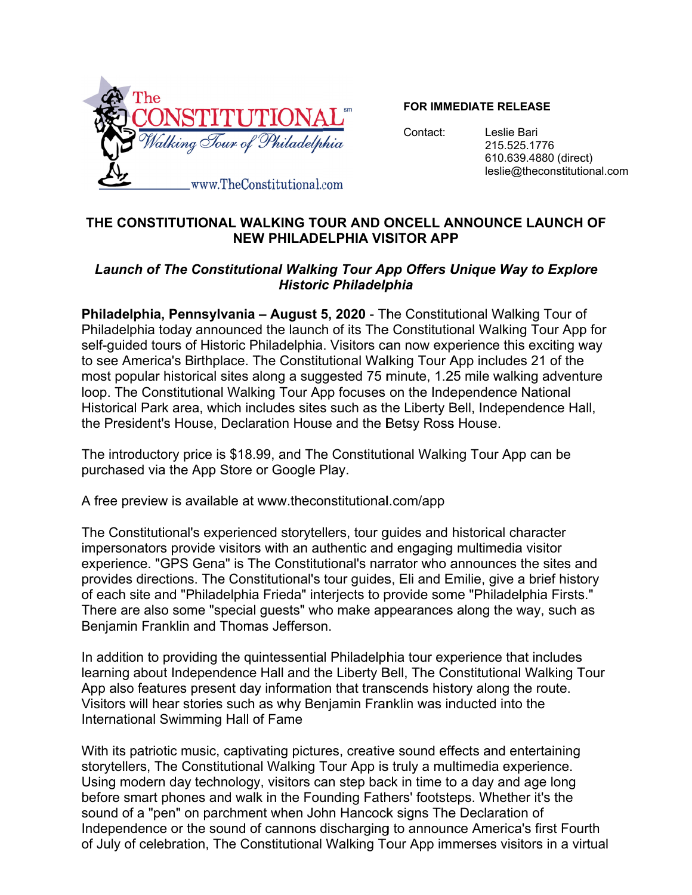

#### **FOR IMMEDIATE RELEASE**

Contact:

Leslie Bari 215.525.1776 610.639.4880 (direct) leslie@theconstitutional.com

# THE CONSTITUTIONAL WALKING TOUR AND ONCELL ANNOUNCE LAUNCH OF **NEW PHILADELPHIA VISITOR APP**

# Launch of The Constitutional Walking Tour App Offers Unique Way to Explore **Historic Philadelphia**

Philadelphia, Pennsylvania - August 5, 2020 - The Constitutional Walking Tour of Philadelphia today announced the launch of its The Constitutional Walking Tour App for self-guided tours of Historic Philadelphia. Visitors can now experience this exciting way to see America's Birthplace. The Constitutional Walking Tour App includes 21 of the most popular historical sites along a suggested 75 minute, 1.25 mile walking adventure loop. The Constitutional Walking Tour App focuses on the Independence National Historical Park area, which includes sites such as the Liberty Bell, Independence Hall, the President's House, Declaration House and the Betsy Ross House.

The introductory price is \$18.99, and The Constitutional Walking Tour App can be purchased via the App Store or Google Play.

A free preview is available at www.theconstitutional.com/app

The Constitutional's experienced storytellers, tour quides and historical character impersonators provide visitors with an authentic and engaging multimedia visitor experience. "GPS Gena" is The Constitutional's narrator who announces the sites and provides directions. The Constitutional's tour guides, Eli and Emilie, give a brief history of each site and "Philadelphia Frieda" interjects to provide some "Philadelphia Firsts." There are also some "special quests" who make appearances along the way, such as Benjamin Franklin and Thomas Jefferson.

In addition to providing the quintessential Philadelphia tour experience that includes learning about Independence Hall and the Liberty Bell, The Constitutional Walking Tour App also features present day information that transcends history along the route. Visitors will hear stories such as why Benjamin Franklin was inducted into the International Swimming Hall of Fame

With its patriotic music, captivating pictures, creative sound effects and entertaining storvtellers. The Constitutional Walking Tour App is truly a multimedia experience. Using modern day technology, visitors can step back in time to a day and age long before smart phones and walk in the Founding Fathers' footsteps. Whether it's the sound of a "pen" on parchment when John Hancock signs The Declaration of Independence or the sound of cannons discharging to announce America's first Fourth of July of celebration, The Constitutional Walking Tour App immerses visitors in a virtual